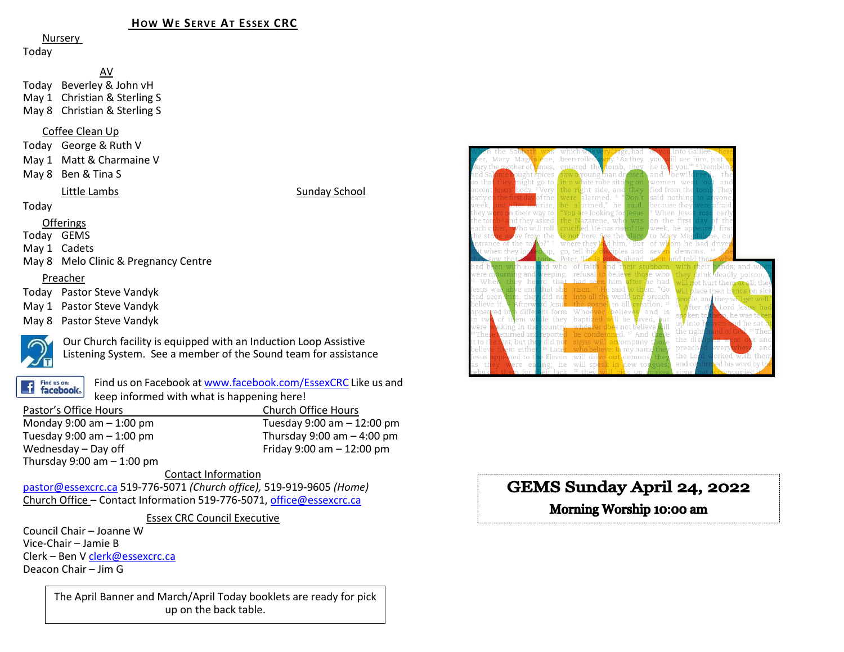### **HOW WE SERVE AT ESSEX CRC**

Nursery

Today

AV Today Beverley & John vH May 1 Christian & Sterling S May 8 Christian & Sterling S

#### Coffee Clean Up

- Today George & Ruth V
- May 1 Matt & Charmaine V
- May 8 Ben & Tina S

#### Little Lambs Sunday School

#### Today

#### Offerings

Today GEMS

May 1 Cadets

May 8 Melo Clinic & Pregnancy Centre

#### Preacher

Today Pastor Steve Vandyk

May 1 Pastor Steve Vandyk

May 8 Pastor Steve Vandyk



Our Church facility is equipped with an Induction Loop Assistive Listening System. See a member of the Sound team for assistance

Find us on: **facebook**  Find us on Facebook a[t www.facebook.com/EssexCRC](http://www.facebook.com/EssexCRC) Like us and keep informed with what is happening here!

| Pastor's Office Hours        | <b>Church Office Hours</b>     |  |  |  |
|------------------------------|--------------------------------|--|--|--|
| Monday 9:00 am $-$ 1:00 pm   | Tuesday $9:00$ am $-12:00$ pm  |  |  |  |
| Tuesday 9:00 am $-$ 1:00 pm  | Thursday $9:00$ am $-$ 4:00 pm |  |  |  |
| Wednesday - Day off          | Friday 9:00 am $- 12:00$ pm    |  |  |  |
| Thursday 9:00 am $-$ 1:00 pm |                                |  |  |  |

#### Contact Information

[pastor@essexcrc.ca](mailto:pastor@essexcrc.ca) 519-776-5071 *(Church office),* 519-919-9605 *(Home)* Church Office – Contact Information 519-776-5071[, office@essexcrc.ca](mailto:office@essexcrc.ca)

Essex CRC Council Executive

Council Chair – Joanne W Vice-Chair – Jamie B Clerk – Ben V [clerk@essexcrc.ca](mailto:clerk@essexcrc.ca) Deacon Chair – Jim G

> The April Banner and March/April Today booklets are ready for pick up on the back table.



# GEMS Sunday April 24, 2022

# Morning Worship 10:00 am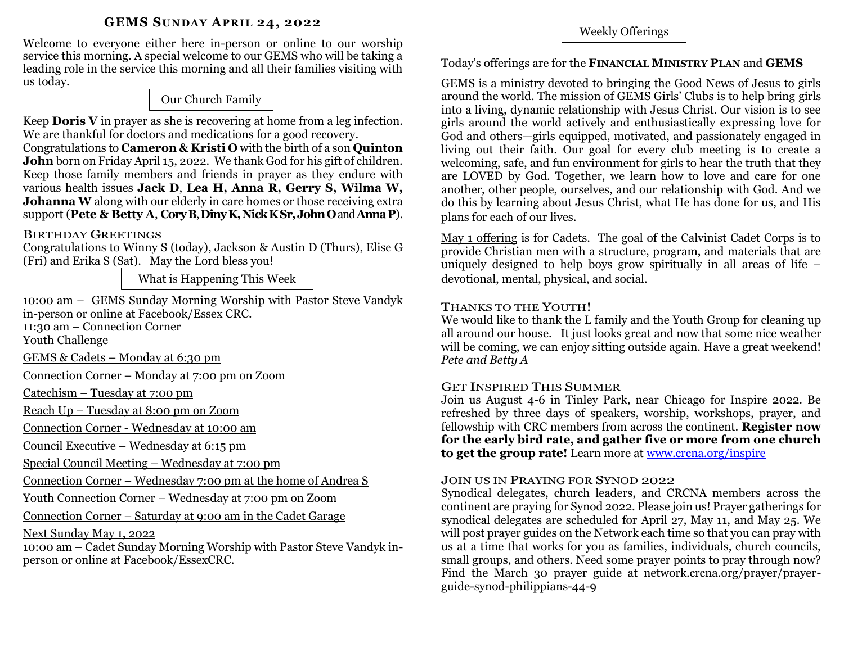### **GEMS SUNDAY APRIL 24, 2022**

Welcome to everyone either here in-person or online to our worship service this morning. A special welcome to our GEMS who will be taking a leading role in the service this morning and all their families visiting with us today.

# Our Church Family

Keep **Doris V** in prayer as she is recovering at home from a leg infection. We are thankful for doctors and medications for a good recovery.

Congratulations to **Cameron & Kristi O** with the birth of a son **Quinton John** born on Friday April 15, 2022. We thank God for his gift of children. Keep those family members and friends in prayer as they endure with various health issues **Jack D**, **Lea H, Anna R, Gerry S, Wilma W, Johanna W** along with our elderly in care homes or those receiving extra support (**Pete & Betty A**, **CoryB**, **DinyK, Nick KSr,John O**and **AnnaP**).

## BIRTHDAY GREETINGS

Congratulations to Winny S (today), Jackson & Austin D (Thurs), Elise G (Fri) and Erika S (Sat). May the Lord bless you!

What is Happening This Week

10:00 am – GEMS Sunday Morning Worship with Pastor Steve Vandyk in-person or online at Facebook/Essex CRC.

11:30 am – Connection Corner

Youth Challenge

GEMS & Cadets – Monday at 6:30 pm

Connection Corner – Monday at 7:00 pm on Zoom

Catechism – Tuesday at 7:00 pm

Reach Up – Tuesday at 8:00 pm on Zoom

Connection Corner - Wednesday at 10:00 am

Council Executive – Wednesday at 6:15 pm

Special Council Meeting – Wednesday at 7:00 pm

Connection Corner – Wednesday 7:00 pm at the home of Andrea S

Youth Connection Corner – Wednesday at 7:00 pm on Zoom

Connection Corner – Saturday at 9:00 am in the Cadet Garage

Next Sunday May 1, 2022

10:00 am – Cadet Sunday Morning Worship with Pastor Steve Vandyk inperson or online at Facebook/EssexCRC.

Weekly Offerings

Today's offerings are for the **FINANCIAL MINISTRY PLAN** and **GEMS**

GEMS is a ministry devoted to bringing the Good News of Jesus to girls around the world. The mission of GEMS Girls' Clubs is to help bring girls into a living, dynamic relationship with Jesus Christ. Our vision is to see girls around the world actively and enthusiastically expressing love for God and others—girls equipped, motivated, and passionately engaged in living out their faith. Our goal for every club meeting is to create a welcoming, safe, and fun environment for girls to hear the truth that they are LOVED by God. Together, we learn how to love and care for one another, other people, ourselves, and our relationship with God. And we do this by learning about Jesus Christ, what He has done for us, and His plans for each of our lives.

May 1 offering is for Cadets. The goal of the Calvinist Cadet Corps is to provide Christian men with a structure, program, and materials that are uniquely designed to help boys grow spiritually in all areas of life – devotional, mental, physical, and social.

## THANKS TO THE YOUTH!

We would like to thank the L family and the Youth Group for cleaning up all around our house. It just looks great and now that some nice weather will be coming, we can enjoy sitting outside again. Have a great weekend! *Pete and Betty A*

## GET INSPIRED THIS SUMMER

Join us August 4-6 in Tinley Park, near Chicago for Inspire 2022. Be refreshed by three days of speakers, worship, workshops, prayer, and fellowship with CRC members from across the continent. **Register now for the early bird rate, and gather five or more from one church to get the group rate!** Learn more at [www.crcna.org/inspire](http://www.crcna.org/inspire)

## JOIN US IN PRAYING FOR SYNOD 2022

Synodical delegates, church leaders, and CRCNA members across the continent are praying for Synod 2022. Please join us! Prayer gatherings for synodical delegates are scheduled for April 27, May 11, and May 25. We will post prayer guides on the Network each time so that you can pray with us at a time that works for you as families, individuals, church councils, small groups, and others. Need some prayer points to pray through now? Find the March 30 prayer guide at network.crcna.org/prayer/prayerguide-synod-philippians-44-9